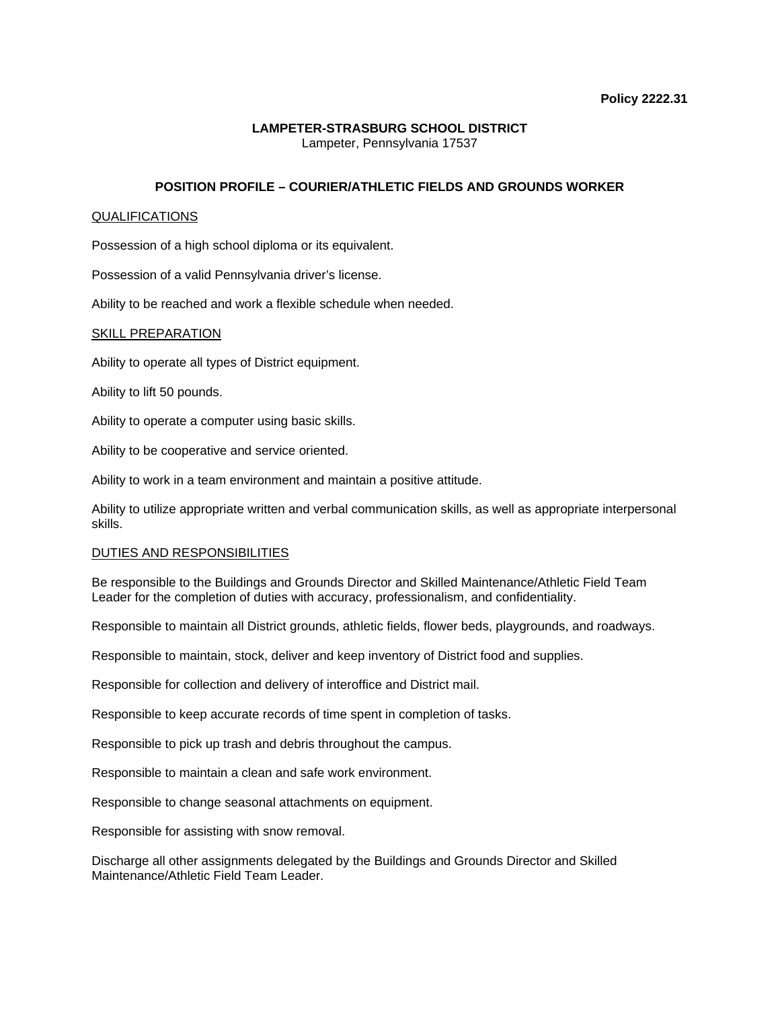### **LAMPETER-STRASBURG SCHOOL DISTRICT**  Lampeter, Pennsylvania 17537

## **POSITION PROFILE – COURIER/ATHLETIC FIELDS AND GROUNDS WORKER**

### QUALIFICATIONS

Possession of a high school diploma or its equivalent.

Possession of a valid Pennsylvania driver's license.

Ability to be reached and work a flexible schedule when needed.

#### SKILL PREPARATION

Ability to operate all types of District equipment.

Ability to lift 50 pounds.

Ability to operate a computer using basic skills.

Ability to be cooperative and service oriented.

Ability to work in a team environment and maintain a positive attitude.

Ability to utilize appropriate written and verbal communication skills, as well as appropriate interpersonal skills.

### DUTIES AND RESPONSIBILITIES

Be responsible to the Buildings and Grounds Director and Skilled Maintenance/Athletic Field Team Leader for the completion of duties with accuracy, professionalism, and confidentiality.

Responsible to maintain all District grounds, athletic fields, flower beds, playgrounds, and roadways.

Responsible to maintain, stock, deliver and keep inventory of District food and supplies.

Responsible for collection and delivery of interoffice and District mail.

Responsible to keep accurate records of time spent in completion of tasks.

Responsible to pick up trash and debris throughout the campus.

Responsible to maintain a clean and safe work environment.

Responsible to change seasonal attachments on equipment.

Responsible for assisting with snow removal.

Discharge all other assignments delegated by the Buildings and Grounds Director and Skilled Maintenance/Athletic Field Team Leader.